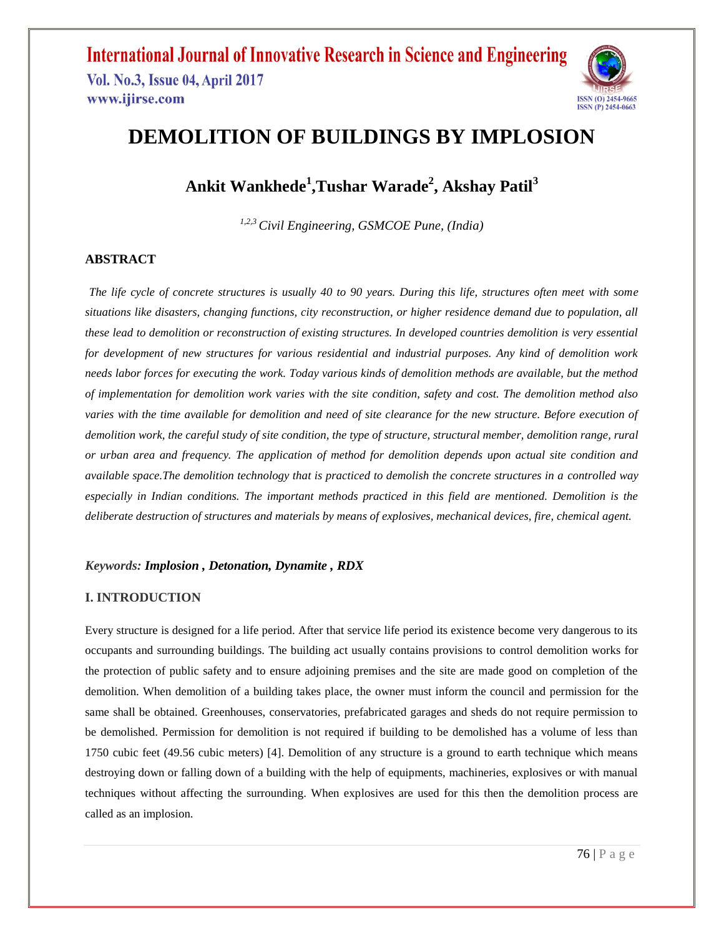**International Journal of Innovative Research in Science and Engineering** 

**Vol. No.3, Issue 04, April 2017** www.ijirse.com



### **DEMOLITION OF BUILDINGS BY IMPLOSION**

**Ankit Wankhede<sup>1</sup> ,Tushar Warade<sup>2</sup> , Akshay Patil<sup>3</sup>**

*1,2,3 Civil Engineering, GSMCOE Pune, (India)*

#### **ABSTRACT**

*The life cycle of concrete structures is usually 40 to 90 years. During this life, structures often meet with some situations like disasters, changing functions, city reconstruction, or higher residence demand due to population, all these lead to demolition or reconstruction of existing structures. In developed countries demolition is very essential for development of new structures for various residential and industrial purposes. Any kind of demolition work needs labor forces for executing the work. Today various kinds of demolition methods are available, but the method of implementation for demolition work varies with the site condition, safety and cost. The demolition method also varies with the time available for demolition and need of site clearance for the new structure. Before execution of demolition work, the careful study of site condition, the type of structure, structural member, demolition range, rural or urban area and frequency. The application of method for demolition depends upon actual site condition and available space.The demolition technology that is practiced to demolish the concrete structures in a controlled way especially in Indian conditions. The important methods practiced in this field are mentioned. Demolition is the deliberate destruction of structures and materials by means of explosives, mechanical devices, fire, chemical agent.*

#### *Keywords: Implosion , Detonation, Dynamite , RDX*

#### **I. INTRODUCTION**

Every structure is designed for a life period. After that service life period its existence become very dangerous to its occupants and surrounding buildings. The building act usually contains provisions to control demolition works for the protection of public safety and to ensure adjoining premises and the site are made good on completion of the demolition. When demolition of a building takes place, the owner must inform the council and permission for the same shall be obtained. Greenhouses, conservatories, prefabricated garages and sheds do not require permission to be demolished. Permission for demolition is not required if building to be demolished has a volume of less than 1750 cubic feet (49.56 cubic meters) [4]. Demolition of any structure is a ground to earth technique which means destroying down or falling down of a building with the help of equipments, machineries, explosives or with manual techniques without affecting the surrounding. When explosives are used for this then the demolition process are called as an implosion.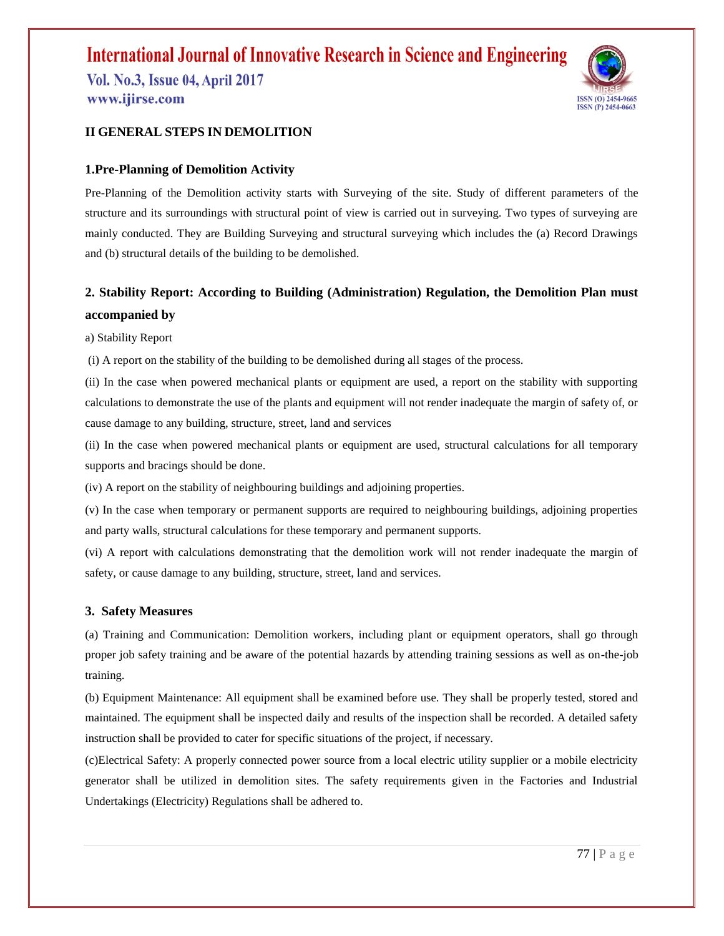# **International Journal of Innovative Research in Science and Engineering**

**Vol. No.3, Issue 04, April 2017** www.ijirse.com



#### **II GENERAL STEPS IN DEMOLITION**

#### **1.Pre-Planning of Demolition Activity**

Pre-Planning of the Demolition activity starts with Surveying of the site. Study of different parameters of the structure and its surroundings with structural point of view is carried out in surveying. Two types of surveying are mainly conducted. They are Building Surveying and structural surveying which includes the (a) Record Drawings and (b) structural details of the building to be demolished.

### **2. Stability Report: According to Building (Administration) Regulation, the Demolition Plan must accompanied by**

a) Stability Report

(i) A report on the stability of the building to be demolished during all stages of the process.

(ii) In the case when powered mechanical plants or equipment are used, a report on the stability with supporting calculations to demonstrate the use of the plants and equipment will not render inadequate the margin of safety of, or cause damage to any building, structure, street, land and services

(ii) In the case when powered mechanical plants or equipment are used, structural calculations for all temporary supports and bracings should be done.

(iv) A report on the stability of neighbouring buildings and adjoining properties.

(v) In the case when temporary or permanent supports are required to neighbouring buildings, adjoining properties and party walls, structural calculations for these temporary and permanent supports.

(vi) A report with calculations demonstrating that the demolition work will not render inadequate the margin of safety, or cause damage to any building, structure, street, land and services.

#### **3. Safety Measures**

(a) Training and Communication: Demolition workers, including plant or equipment operators, shall go through proper job safety training and be aware of the potential hazards by attending training sessions as well as on-the-job training.

(b) Equipment Maintenance: All equipment shall be examined before use. They shall be properly tested, stored and maintained. The equipment shall be inspected daily and results of the inspection shall be recorded. A detailed safety instruction shall be provided to cater for specific situations of the project, if necessary.

(c)Electrical Safety: A properly connected power source from a local electric utility supplier or a mobile electricity generator shall be utilized in demolition sites. The safety requirements given in the Factories and Industrial Undertakings (Electricity) Regulations shall be adhered to.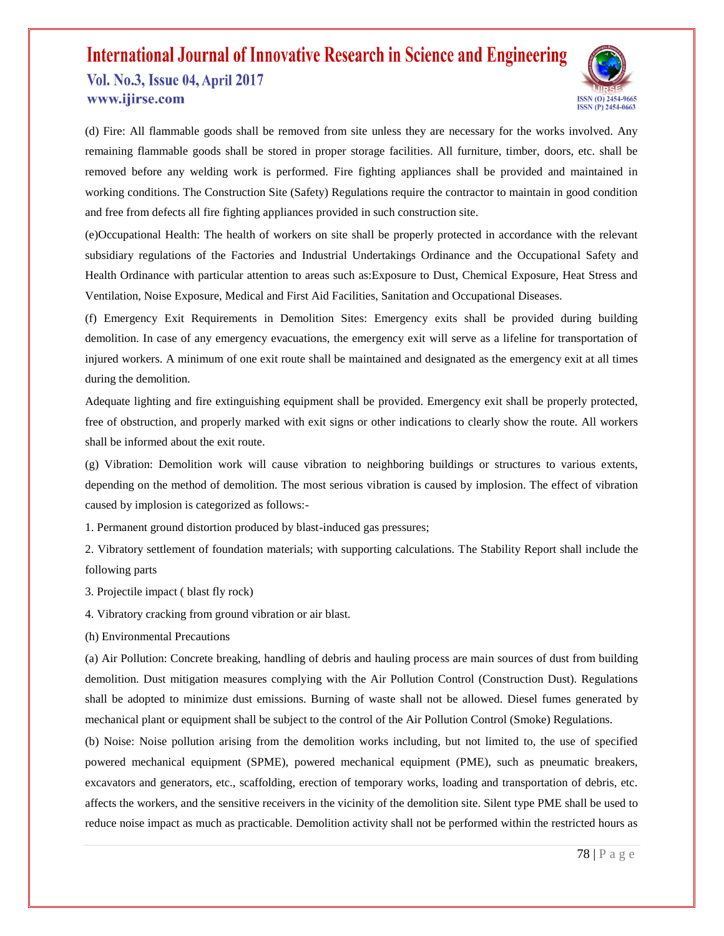

(d) Fire: All flammable goods shall be removed from site unless they are necessary for the works involved. Any remaining flammable goods shall be stored in proper storage facilities. All furniture, timber, doors, etc. shall be removed before any welding work is performed. Fire fighting appliances shall be provided and maintained in working conditions. The Construction Site (Safety) Regulations require the contractor to maintain in good condition and free from defects all fire fighting appliances provided in such construction site.

(e)Occupational Health: The health of workers on site shall be properly protected in accordance with the relevant subsidiary regulations of the Factories and Industrial Undertakings Ordinance and the Occupational Safety and Health Ordinance with particular attention to areas such as:Exposure to Dust, Chemical Exposure, Heat Stress and Ventilation, Noise Exposure, Medical and First Aid Facilities, Sanitation and Occupational Diseases.

(f) Emergency Exit Requirements in Demolition Sites: Emergency exits shall be provided during building demolition. In case of any emergency evacuations, the emergency exit will serve as a lifeline for transportation of injured workers. A minimum of one exit route shall be maintained and designated as the emergency exit at all times during the demolition.

Adequate lighting and fire extinguishing equipment shall be provided. Emergency exit shall be properly protected, free of obstruction, and properly marked with exit signs or other indications to clearly show the route. All workers shall be informed about the exit route.

(g) Vibration: Demolition work will cause vibration to neighboring buildings or structures to various extents, depending on the method of demolition. The most serious vibration is caused by implosion. The effect of vibration caused by implosion is categorized as follows:-

1. Permanent ground distortion produced by blast-induced gas pressures;

2. Vibratory settlement of foundation materials; with supporting calculations. The Stability Report shall include the following parts

3. Projectile impact ( blast fly rock)

4. Vibratory cracking from ground vibration or air blast.

(h) Environmental Precautions

(a) Air Pollution: Concrete breaking, handling of debris and hauling process are main sources of dust from building demolition. Dust mitigation measures complying with the Air Pollution Control (Construction Dust). Regulations shall be adopted to minimize dust emissions. Burning of waste shall not be allowed. Diesel fumes generated by mechanical plant or equipment shall be subject to the control of the Air Pollution Control (Smoke) Regulations.

(b) Noise: Noise pollution arising from the demolition works including, but not limited to, the use of specified powered mechanical equipment (SPME), powered mechanical equipment (PME), such as pneumatic breakers, excavators and generators, etc., scaffolding, erection of temporary works, loading and transportation of debris, etc. affects the workers, and the sensitive receivers in the vicinity of the demolition site. Silent type PME shall be used to reduce noise impact as much as practicable. Demolition activity shall not be performed within the restricted hours as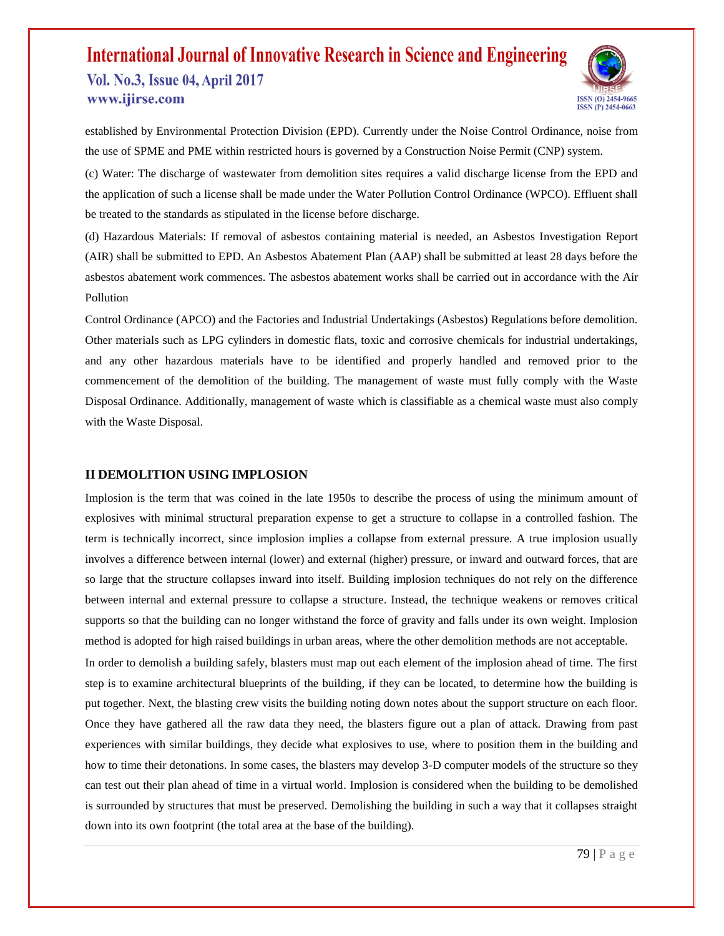

established by Environmental Protection Division (EPD). Currently under the Noise Control Ordinance, noise from the use of SPME and PME within restricted hours is governed by a Construction Noise Permit (CNP) system.

(c) Water: The discharge of wastewater from demolition sites requires a valid discharge license from the EPD and the application of such a license shall be made under the Water Pollution Control Ordinance (WPCO). Effluent shall be treated to the standards as stipulated in the license before discharge.

(d) Hazardous Materials: If removal of asbestos containing material is needed, an Asbestos Investigation Report (AIR) shall be submitted to EPD. An Asbestos Abatement Plan (AAP) shall be submitted at least 28 days before the asbestos abatement work commences. The asbestos abatement works shall be carried out in accordance with the Air Pollution

Control Ordinance (APCO) and the Factories and Industrial Undertakings (Asbestos) Regulations before demolition. Other materials such as LPG cylinders in domestic flats, toxic and corrosive chemicals for industrial undertakings, and any other hazardous materials have to be identified and properly handled and removed prior to the commencement of the demolition of the building. The management of waste must fully comply with the Waste Disposal Ordinance. Additionally, management of waste which is classifiable as a chemical waste must also comply with the Waste Disposal.

#### **II DEMOLITION USING IMPLOSION**

Implosion is the term that was coined in the late 1950s to describe the process of using the minimum amount of explosives with minimal structural preparation expense to get a structure to collapse in a controlled fashion. The term is technically incorrect, since implosion implies a collapse from external pressure. A true implosion usually involves a difference between internal (lower) and external (higher) pressure, or inward and outward forces, that are so large that the structure collapses inward into itself. Building implosion techniques do not rely on the difference between internal and external pressure to collapse a structure. Instead, the technique weakens or removes critical supports so that the building can no longer withstand the force of gravity and falls under its own weight. Implosion method is adopted for high raised buildings in urban areas, where the other demolition methods are not acceptable. In order to demolish a building safely, blasters must map out each element of the implosion ahead of time. The first step is to examine architectural blueprints of the building, if they can be located, to determine how the building is put together. Next, the blasting crew visits the building noting down notes about the support structure on each floor. Once they have gathered all the raw data they need, the blasters figure out a plan of attack. Drawing from past experiences with similar buildings, they decide what explosives to use, where to position them in the building and how to time their detonations. In some cases, the blasters may develop 3-D computer models of the structure so they can test out their plan ahead of time in a virtual world. Implosion is considered when the building to be demolished is surrounded by structures that must be preserved. Demolishing the building in such a way that it collapses straight down into its own footprint (the total area at the base of the building).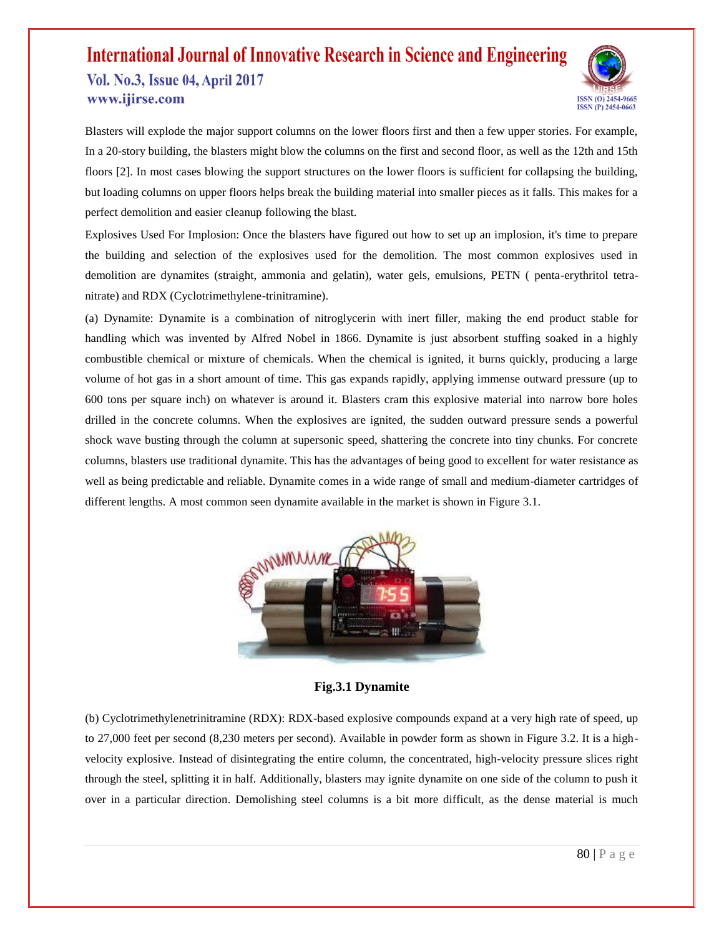

Blasters will explode the major support columns on the lower floors first and then a few upper stories. For example, In a 20-story building, the blasters might blow the columns on the first and second floor, as well as the 12th and 15th floors [2]. In most cases blowing the support structures on the lower floors is sufficient for collapsing the building, but loading columns on upper floors helps break the building material into smaller pieces as it falls. This makes for a perfect demolition and easier cleanup following the blast.

Explosives Used For Implosion: Once the blasters have figured out how to set up an implosion, it's time to prepare the building and selection of the explosives used for the demolition. The most common explosives used in demolition are dynamites (straight, ammonia and gelatin), water gels, emulsions, PETN ( penta-erythritol tetranitrate) and RDX (Cyclotrimethylene-trinitramine).

(a) Dynamite: Dynamite is a combination of nitroglycerin with inert filler, making the end product stable for handling which was invented by Alfred Nobel in 1866. Dynamite is just absorbent stuffing soaked in a highly combustible chemical or mixture of chemicals. When the chemical is ignited, it burns quickly, producing a large volume of hot gas in a short amount of time. This gas expands rapidly, applying immense outward pressure (up to 600 tons per square inch) on whatever is around it. Blasters cram this explosive material into narrow bore holes drilled in the concrete columns. When the explosives are ignited, the sudden outward pressure sends a powerful shock wave busting through the column at supersonic speed, shattering the concrete into tiny chunks. For concrete columns, blasters use traditional dynamite. This has the advantages of being good to excellent for water resistance as well as being predictable and reliable. Dynamite comes in a wide range of small and medium-diameter cartridges of different lengths. A most common seen dynamite available in the market is shown in Figure 3.1.



**Fig.3.1 Dynamite**

(b) Cyclotrimethylenetrinitramine (RDX): RDX-based explosive compounds expand at a very high rate of speed, up to 27,000 feet per second (8,230 meters per second). Available in powder form as shown in Figure 3.2. It is a highvelocity explosive. Instead of disintegrating the entire column, the concentrated, high-velocity pressure slices right through the steel, splitting it in half. Additionally, blasters may ignite dynamite on one side of the column to push it over in a particular direction. Demolishing steel columns is a bit more difficult, as the dense material is much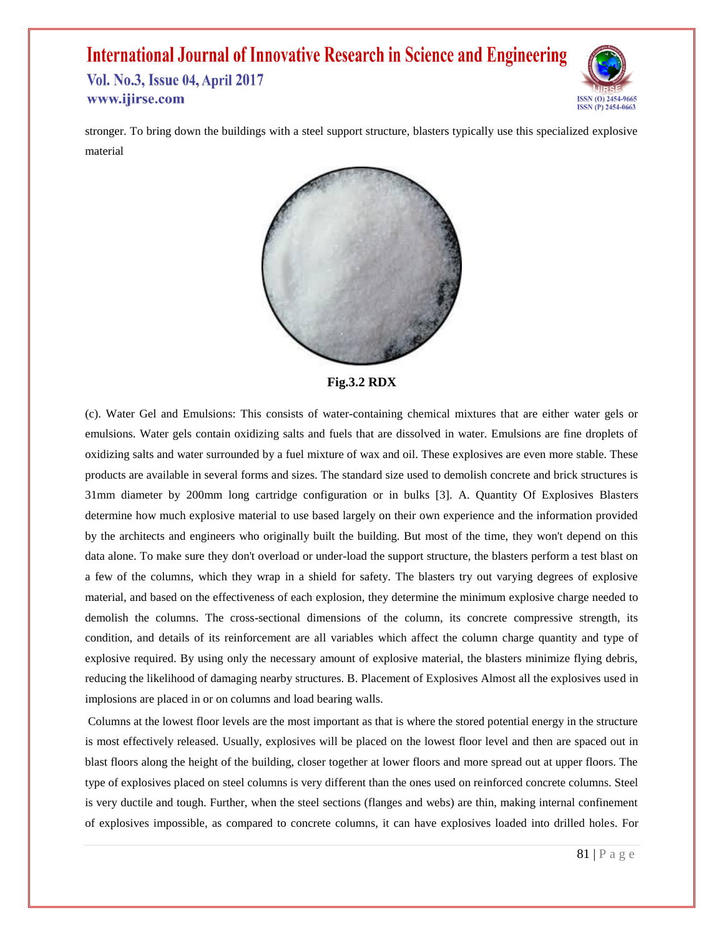## **International Journal of Innovative Research in Science and Engineering**

**Vol. No.3, Issue 04, April 2017** www.ijirse.com



stronger. To bring down the buildings with a steel support structure, blasters typically use this specialized explosive material



**Fig.3.2 RDX**

(c). Water Gel and Emulsions: This consists of water-containing chemical mixtures that are either water gels or emulsions. Water gels contain oxidizing salts and fuels that are dissolved in water. Emulsions are fine droplets of oxidizing salts and water surrounded by a fuel mixture of wax and oil. These explosives are even more stable. These products are available in several forms and sizes. The standard size used to demolish concrete and brick structures is 31mm diameter by 200mm long cartridge configuration or in bulks [3]. A. Quantity Of Explosives Blasters determine how much explosive material to use based largely on their own experience and the information provided by the architects and engineers who originally built the building. But most of the time, they won't depend on this data alone. To make sure they don't overload or under-load the support structure, the blasters perform a test blast on a few of the columns, which they wrap in a shield for safety. The blasters try out varying degrees of explosive material, and based on the effectiveness of each explosion, they determine the minimum explosive charge needed to demolish the columns. The cross-sectional dimensions of the column, its concrete compressive strength, its condition, and details of its reinforcement are all variables which affect the column charge quantity and type of explosive required. By using only the necessary amount of explosive material, the blasters minimize flying debris, reducing the likelihood of damaging nearby structures. B. Placement of Explosives Almost all the explosives used in implosions are placed in or on columns and load bearing walls.

Columns at the lowest floor levels are the most important as that is where the stored potential energy in the structure is most effectively released. Usually, explosives will be placed on the lowest floor level and then are spaced out in blast floors along the height of the building, closer together at lower floors and more spread out at upper floors. The type of explosives placed on steel columns is very different than the ones used on reinforced concrete columns. Steel is very ductile and tough. Further, when the steel sections (flanges and webs) are thin, making internal confinement of explosives impossible, as compared to concrete columns, it can have explosives loaded into drilled holes. For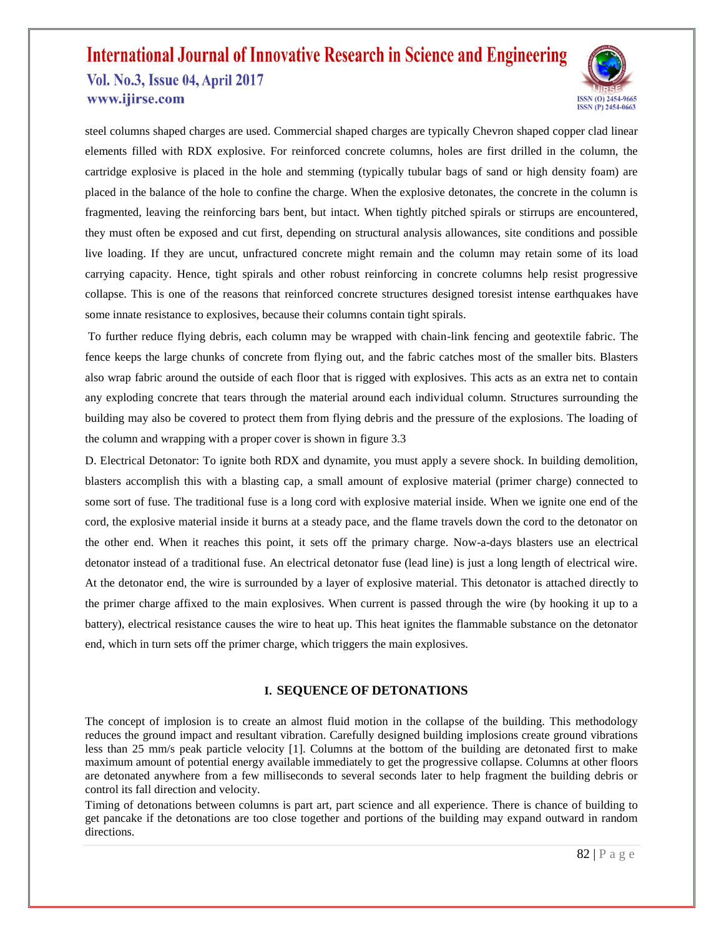

steel columns shaped charges are used. Commercial shaped charges are typically Chevron shaped copper clad linear elements filled with RDX explosive. For reinforced concrete columns, holes are first drilled in the column, the cartridge explosive is placed in the hole and stemming (typically tubular bags of sand or high density foam) are placed in the balance of the hole to confine the charge. When the explosive detonates, the concrete in the column is fragmented, leaving the reinforcing bars bent, but intact. When tightly pitched spirals or stirrups are encountered, they must often be exposed and cut first, depending on structural analysis allowances, site conditions and possible live loading. If they are uncut, unfractured concrete might remain and the column may retain some of its load carrying capacity. Hence, tight spirals and other robust reinforcing in concrete columns help resist progressive collapse. This is one of the reasons that reinforced concrete structures designed toresist intense earthquakes have some innate resistance to explosives, because their columns contain tight spirals.

To further reduce flying debris, each column may be wrapped with chain-link fencing and geotextile fabric. The fence keeps the large chunks of concrete from flying out, and the fabric catches most of the smaller bits. Blasters also wrap fabric around the outside of each floor that is rigged with explosives. This acts as an extra net to contain any exploding concrete that tears through the material around each individual column. Structures surrounding the building may also be covered to protect them from flying debris and the pressure of the explosions. The loading of the column and wrapping with a proper cover is shown in figure 3.3

D. Electrical Detonator: To ignite both RDX and dynamite, you must apply a severe shock. In building demolition, blasters accomplish this with a blasting cap, a small amount of explosive material (primer charge) connected to some sort of fuse. The traditional fuse is a long cord with explosive material inside. When we ignite one end of the cord, the explosive material inside it burns at a steady pace, and the flame travels down the cord to the detonator on the other end. When it reaches this point, it sets off the primary charge. Now-a-days blasters use an electrical detonator instead of a traditional fuse. An electrical detonator fuse (lead line) is just a long length of electrical wire. At the detonator end, the wire is surrounded by a layer of explosive material. This detonator is attached directly to the primer charge affixed to the main explosives. When current is passed through the wire (by hooking it up to a battery), electrical resistance causes the wire to heat up. This heat ignites the flammable substance on the detonator end, which in turn sets off the primer charge, which triggers the main explosives.

#### **I. SEQUENCE OF DETONATIONS**

The concept of implosion is to create an almost fluid motion in the collapse of the building. This methodology reduces the ground impact and resultant vibration. Carefully designed building implosions create ground vibrations less than 25 mm/s peak particle velocity [1]. Columns at the bottom of the building are detonated first to make maximum amount of potential energy available immediately to get the progressive collapse. Columns at other floors are detonated anywhere from a few milliseconds to several seconds later to help fragment the building debris or control its fall direction and velocity.

Timing of detonations between columns is part art, part science and all experience. There is chance of building to get pancake if the detonations are too close together and portions of the building may expand outward in random directions.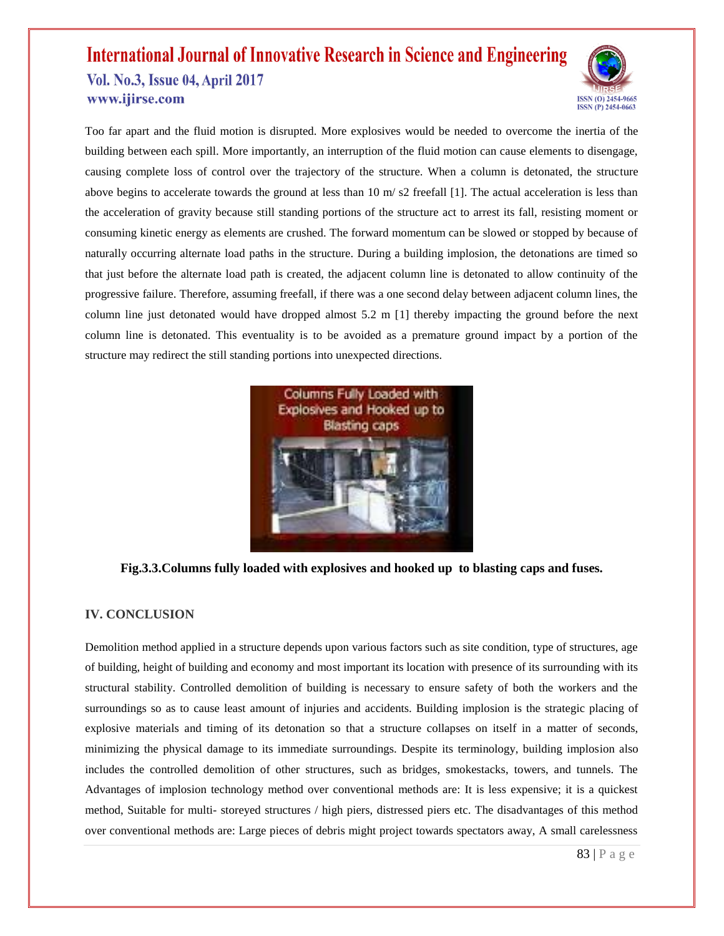

Too far apart and the fluid motion is disrupted. More explosives would be needed to overcome the inertia of the building between each spill. More importantly, an interruption of the fluid motion can cause elements to disengage, causing complete loss of control over the trajectory of the structure. When a column is detonated, the structure above begins to accelerate towards the ground at less than  $10 \text{ m/s}$  2 freefall [1]. The actual acceleration is less than the acceleration of gravity because still standing portions of the structure act to arrest its fall, resisting moment or consuming kinetic energy as elements are crushed. The forward momentum can be slowed or stopped by because of naturally occurring alternate load paths in the structure. During a building implosion, the detonations are timed so that just before the alternate load path is created, the adjacent column line is detonated to allow continuity of the progressive failure. Therefore, assuming freefall, if there was a one second delay between adjacent column lines, the column line just detonated would have dropped almost 5.2 m [1] thereby impacting the ground before the next column line is detonated. This eventuality is to be avoided as a premature ground impact by a portion of the structure may redirect the still standing portions into unexpected directions.



#### **Fig.3.3.Columns fully loaded with explosives and hooked up to blasting caps and fuses.**

#### **IV. CONCLUSION**

Demolition method applied in a structure depends upon various factors such as site condition, type of structures, age of building, height of building and economy and most important its location with presence of its surrounding with its structural stability. Controlled demolition of building is necessary to ensure safety of both the workers and the surroundings so as to cause least amount of injuries and accidents. Building implosion is the strategic placing of explosive materials and timing of its detonation so that a structure collapses on itself in a matter of seconds, minimizing the physical damage to its immediate surroundings. Despite its terminology, building implosion also includes the controlled demolition of other structures, such as bridges, smokestacks, towers, and tunnels. The Advantages of implosion technology method over conventional methods are: It is less expensive; it is a quickest method, Suitable for multi- storeyed structures / high piers, distressed piers etc. The disadvantages of this method over conventional methods are: Large pieces of debris might project towards spectators away, A small carelessness